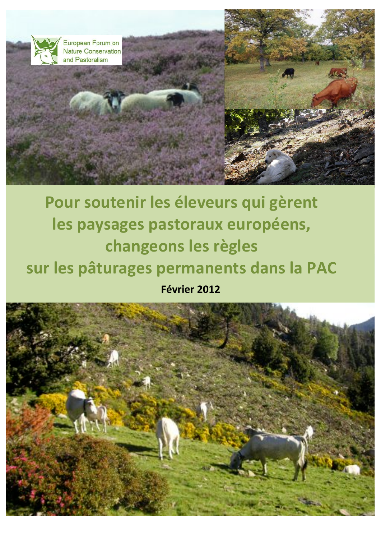

# Pour soutenir les éleveurs qui gèrent les paysages pastoraux européens, changeons les règles sur les pâturages permanents dans la PAC Février 2012

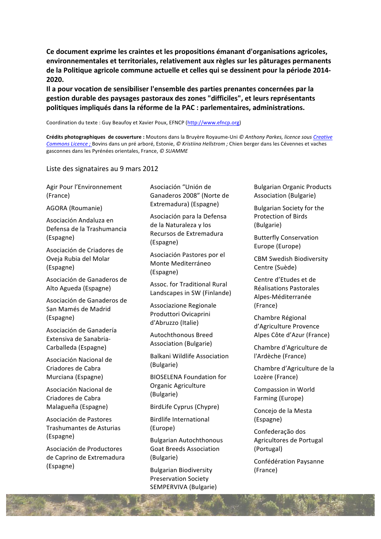Ce document exprime les craintes et les propositions émanant d'organisations agricoles, environnementales et territoriales, relativement aux règles sur les pâturages permanents de la Politique agricole commune actuelle et celles qui se dessinent pour la période 2014-2020.

Il a pour vocation de sensibiliser l'ensemble des parties prenantes concernées par la gestion durable des paysages pastoraux des zones "difficiles", et leurs représentants politiques impliqués dans la réforme de la PAC : parlementaires, administrations.

Coordination du texte : Guy Beaufoy et Xavier Poux, EFNCP (http://www.efncp.org)

Crédits photographiques de couverture : Moutons dans la Bruyère Royaume-Uni @ Anthony Parkes, licence sous Creative Commons Licence ; Bovins dans un pré arboré, Estonie, @ Kristiina Hellstrom ; Chien berger dans les Cévennes et vaches gasconnes dans les Pyrénées orientales, France, © SUAMME

Liste des signataires au 9 mars 2012

Agir Pour l'Environnement (France)

AGORA (Roumanie)

Asociación Andaluza en Defensa de la Trashumancia (Espagne)

Asociación de Criadores de Oveja Rubia del Molar (Espagne)

Asociación de Ganaderos de Alto Agueda (Espagne)

Asociación de Ganaderos de San Mamés de Madrid (Espagne)

Asociación de Ganadería Extensiva de Sanabria-Carballeda (Espagne)

Asociación Nacional de Criadores de Cabra Murciana (Espagne)

Asociación Nacional de Criadores de Cabra Malagueña (Espagne)

Asociación de Pastores Trashumantes de Asturias (Espagne)

Asociación de Productores de Caprino de Extremadura (Espagne)

Asociación "Unión de Ganaderos 2008" (Norte de Extremadura) (Espagne)

Asociación para la Defensa de la Naturaleza y los Recursos de Extremadura (Espagne)

Asociación Pastores por el Monte Mediterráneo (Espagne)

Assoc. for Traditional Rural Landscapes in SW (Finlande)

Associazione Regionale Produttori Ovicaprini d'Abruzzo (Italie)

Autochthonous Breed Association (Bulgarie)

**Balkani Wildlife Association** (Bulgarie)

**BIOSELENA Foundation for** Organic Agriculture (Bulgarie)

BirdLife Cyprus (Chypre)

**Birdlife International** 

(Europe)

**Bulgarian Autochthonous Goat Breeds Association** (Bulgarie)

**Bulgarian Biodiversity Preservation Society** SEMPERVIVA (Bulgarie) **Bulgarian Organic Products Association (Bulgarie)** 

**Bulgarian Society for the** Protection of Birds (Bulgarie)

**Butterfly Conservation** Europe (Europe)

**CBM Swedish Biodiversity** Centre (Suède)

Centre d'Etudes et de Réalisations Pastorales Alpes-Méditerranée (France)

Chambre Régional d'Agriculture Provence Alpes Côte d'Azur (France)

Chambre d'Agriculture de l'Ardèche (France)

Chambre d'Agriculture de la Lozère (France)

Compassion in World Farming (Europe)

Concejo de la Mesta (Espagne)

Confederação dos Agricultores de Portugal (Portugal)

Confédération Paysanne (France)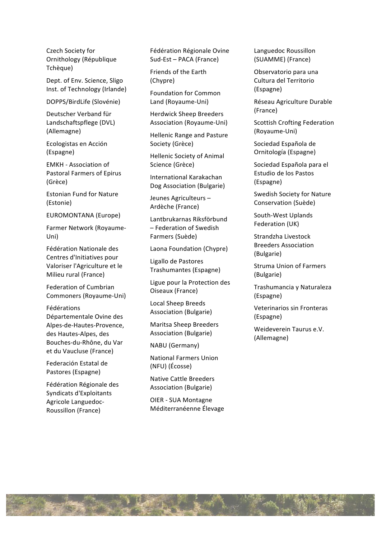Czech Society for Ornithology (République Tchèque)

Dept. of Env. Science, Sligo Inst. of Technology (Irlande)

DOPPS/BirdLife (Slovénie)

Deutscher Verband für Landschaftspflege (DVL) (Allemagne)

Ecologistas en Acción (Espagne)

**EMKH** - Association of **Pastoral Farmers of Epirus** (Grèce)

**Estonian Fund for Nature** (Estonie)

**EUROMONTANA (Europe)** 

Farmer Network (Royaume-Uni)

Fédération Nationale des Centres d'Initiatives pour Valoriser l'Agriculture et le Milieu rural (France)

**Federation of Cumbrian** Commoners (Royaume-Uni)

Fédérations Départementale Ovine des Alpes-de-Hautes-Provence, des Hautes-Alpes, des Bouches-du-Rhône, du Var et du Vaucluse (France)

Federación Estatal de Pastores (Espagne)

Fédération Régionale des Syndicats d'Exploitants Agricole Languedoc-Roussillon (France)

Fédération Régionale Ovine Sud-Est - PACA (France)

Friends of the Earth (Chypre)

**Foundation for Common** Land (Royaume-Uni)

**Herdwick Sheep Breeders** Association (Royaume-Uni)

**Hellenic Range and Pasture** Society (Grèce)

Hellenic Society of Animal Science (Grèce)

International Karakachan Dog Association (Bulgarie)

Jeunes Agriculteurs -Ardèche (France)

Lantbrukarnas Riksförbund - Federation of Swedish Farmers (Suède)

Laona Foundation (Chypre)

Ligallo de Pastores Trashumantes (Espagne)

Ligue pour la Protection des Oiseaux (France)

**Local Sheep Breeds Association (Bulgarie)** 

**Maritsa Sheep Breeders Association (Bulgarie)** 

NABU (Germany)

**National Farmers Union** (NFU) (Écosse)

**Native Cattle Breeders** Association (Bulgarie)

OIER - SUA Montagne Méditerranéenne Élevage Languedoc Roussillon (SUAMME) (France)

Observatorio para una Cultura del Territorio (Espagne)

Réseau Agriculture Durable (France)

**Scottish Crofting Federation** (Royaume-Uni)

Sociedad Española de Ornitología (Espagne)

Sociedad Española para el Estudio de los Pastos (Espagne)

**Swedish Society for Nature** Conservation (Suède)

South-West Uplands Federation (UK)

Strandzha Livestock **Breeders Association** (Bulgarie)

**Struma Union of Farmers** (Bulgarie)

Trashumancia y Naturaleza (Espagne)

Veterinarios sin Fronteras (Espagne)

Weideverein Taurus e.V. (Allemagne)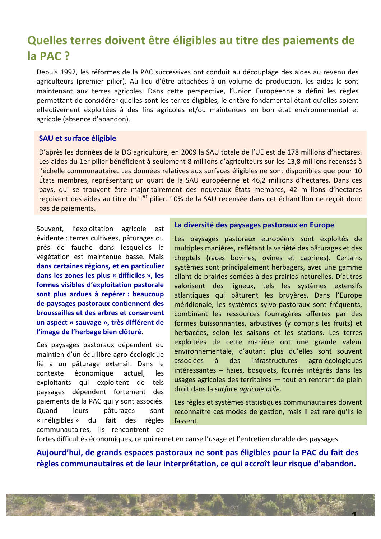# Quelles terres doivent être éligibles au titre des paiements de la PAC?

Depuis 1992, les réformes de la PAC successives ont conduit au découplage des aides au revenu des agriculteurs (premier pilier). Au lieu d'être attachées à un volume de production, les aides le sont maintenant aux terres agricoles. Dans cette perspective, l'Union Européenne a défini les règles permettant de considérer quelles sont les terres éligibles, le critère fondamental étant qu'elles soient effectivement exploitées à des fins agricoles et/ou maintenues en bon état environnemental et agricole (absence d'abandon).

### **SAU et surface éligible**

D'après les données de la DG agriculture, en 2009 la SAU totale de l'UE est de 178 millions d'hectares. Les aides du 1er pilier bénéficient à seulement 8 millions d'agriculteurs sur les 13,8 millions recensés à l'échelle communautaire. Les données relatives aux surfaces éligibles ne sont disponibles que pour 10 États membres, représentant un quart de la SAU européenne et 46,2 millions d'hectares. Dans ces pays, qui se trouvent être majoritairement des nouveaux États membres, 42 millions d'hectares reçoivent des aides au titre du 1<sup>er</sup> pilier. 10% de la SAU recensée dans cet échantillon ne reçoit donc pas de paiements.

Souvent, l'exploitation agricole est évidente : terres cultivées, pâturages ou prés de fauche dans lesquelles la végétation est maintenue basse. Mais dans certaines régions, et en particulier dans les zones les plus « difficiles », les formes visibles d'exploitation pastorale sont plus ardues à repérer : beaucoup de paysages pastoraux contiennent des broussailles et des arbres et conservent un aspect « sauvage », très différent de l'image de l'herbage bien clôturé.

Ces paysages pastoraux dépendent du maintien d'un équilibre agro-écologique lié à un pâturage extensif. Dans le contexte économique actuel, les exploitants qui exploitent de tels paysages dépendent fortement des paiements de la PAC qui y sont associés. pâturages Quand leurs sont « inéligibles » du fait des règles communautaires, ils rencontrent de

#### La diversité des paysages pastoraux en Europe

Les paysages pastoraux européens sont exploités de multiples manières, reflétant la variété des pâturages et des cheptels (races bovines, ovines et caprines). Certains systèmes sont principalement herbagers, avec une gamme allant de prairies semées à des prairies naturelles. D'autres valorisent des ligneux, tels les systèmes extensifs atlantiques qui pâturent les bruyères. Dans l'Europe méridionale, les systèmes sylvo-pastoraux sont fréquents, combinant les ressources fourragères offertes par des formes buissonnantes, arbustives (y compris les fruits) et herbacées, selon les saisons et les stations. Les terres exploitées de cette manière ont une grande valeur environnementale, d'autant plus qu'elles sont souvent associées des infrastructures à agro-écologiques intéressantes - haies, bosquets, fourrés intégrés dans les usages agricoles des territoires - tout en rentrant de plein droit dans la surface agricole utile.

Les règles et systèmes statistiques communautaires doivent reconnaître ces modes de gestion, mais il est rare qu'ils le fassent.

fortes difficultés économiques, ce qui remet en cause l'usage et l'entretien durable des paysages.

Aujourd'hui, de grands espaces pastoraux ne sont pas éligibles pour la PAC du fait des règles communautaires et de leur interprétation, ce qui accroît leur risque d'abandon.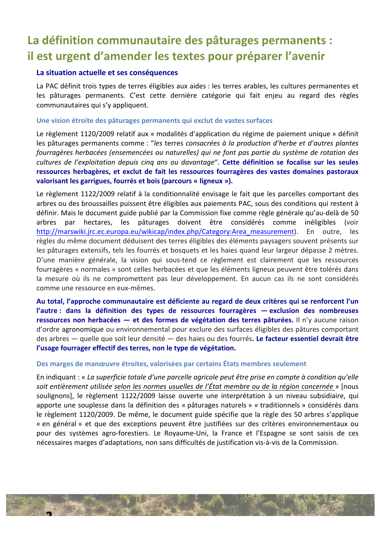# La définition communautaire des pâturages permanents : il est urgent d'amender les textes pour préparer l'avenir

### La situation actuelle et ses conséquences

La PAC définit trois types de terres éligibles aux aides : les terres arables, les cultures permanentes et les pâturages permanents. C'est cette dernière catégorie qui fait enjeu au regard des règles communautaires qui s'y appliquent.

#### Une vision étroite des pâturages permanents qui exclut de vastes surfaces

Le règlement 1120/2009 relatif aux « modalités d'application du régime de paiement unique » définit les pâturages permanents comme : "les terres consacrées à la production d'herbe et d'autres plantes fourragères herbacées (ensemencées ou naturelles) qui ne font pas partie du système de rotation des cultures de l'exploitation depuis cinq ans ou davantage". Cette définition se focalise sur les seules ressources herbagères, et exclut de fait les ressources fourragères des vastes domaines pastoraux valorisant les garrigues, fourrés et bois (parcours « ligneux »).

Le règlement 1122/2009 relatif à la conditionnalité envisage le fait que les parcelles comportant des arbres ou des broussailles puissent être éligibles aux paiements PAC, sous des conditions qui restent à définir. Mais le document guide publié par la Commission fixe comme règle générale qu'au-delà de 50 par hectares, les pâturages doivent être considérés comme inéligibles arbres (voir http://marswiki.jrc.ec.europa.eu/wikicap/index.php/Category:Area measurement). En outre, les règles du même document déduisent des terres éligibles des éléments paysagers souvent présents sur les pâturages extensifs, tels les fourrés et bosquets et les haies quand leur largeur dépasse 2 mètres. D'une manière générale, la vision qui sous-tend ce règlement est clairement que les ressources fourragères « normales » sont celles herbacées et que les éléments ligneux peuvent être tolérés dans la mesure où ils ne compromettent pas leur développement. En aucun cas ils ne sont considérés comme une ressource en eux-mêmes.

Au total, l'approche communautaire est déficiente au regard de deux critères qui se renforcent l'un l'autre : dans la définition des types de ressources fourragères — exclusion des nombreuses ressources non herbacées - et des formes de végétation des terres pâturées. Il n'y aucune raison d'ordre agronomique ou environnemental pour exclure des surfaces éligibles des pâtures comportant des arbres — quelle que soit leur densité — des haies ou des fourrés. Le facteur essentiel devrait être l'usage fourrager effectif des terres, non le type de végétation.

#### Des marges de manœuvre étroites, valorisées par certains États membres seulement

En indiquant : « La superficie totale d'une parcelle agricole peut être prise en compte à condition qu'elle soit entièrement utilisée selon les normes usuelles de l'État membre ou de la région concernée » [nous soulignons], le règlement 1122/2009 laisse ouverte une interprétation à un niveau subsidiaire, qui apporte une souplesse dans la définition des « pâturages naturels » « traditionnels » considérés dans le règlement 1120/2009. De même, le document guide spécifie que la règle des 50 arbres s'applique « en général » et que des exceptions peuvent être justifiées sur des critères environnementaux ou pour des systèmes agro-forestiers. Le Royaume-Uni, la France et l'Espagne se sont saisis de ces nécessaires marges d'adaptations, non sans difficultés de justification vis-à-vis de la Commission.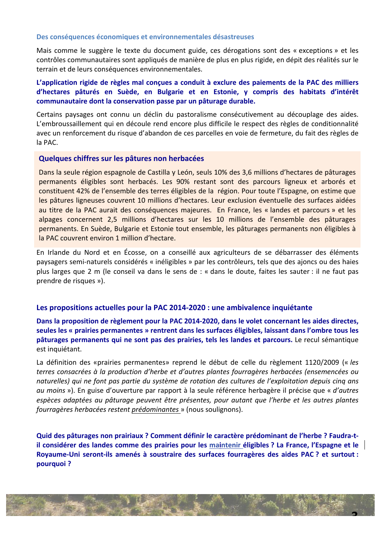#### Des conséquences économiques et environnementales désastreuses

Mais comme le suggère le texte du document guide, ces dérogations sont des « exceptions » et les contrôles communautaires sont appliqués de manière de plus en plus rigide, en dépit des réalités sur le terrain et de leurs conséquences environnementales.

### L'application rigide de règles mal conçues a conduit à exclure des paiements de la PAC des milliers d'hectares pâturés en Suède, en Bulgarie et en Estonie, y compris des habitats d'intérêt communautaire dont la conservation passe par un pâturage durable.

Certains paysages ont connu un déclin du pastoralisme consécutivement au découplage des aides. L'embroussaillement qui en découle rend encore plus difficile le respect des règles de conditionnalité avec un renforcement du risque d'abandon de ces parcelles en voie de fermeture, du fait des règles de la PAC.

#### Quelques chiffres sur les pâtures non herbacées

Dans la seule région espagnole de Castilla y León, seuls 10% des 3,6 millions d'hectares de pâturages permanents éligibles sont herbacés. Les 90% restant sont des parcours ligneux et arborés et constituent 42% de l'ensemble des terres éligibles de la région. Pour toute l'Espagne, on estime que les pâtures ligneuses couvrent 10 millions d'hectares. Leur exclusion éventuelle des surfaces aidées au titre de la PAC aurait des conséquences majeures. En France, les « landes et parcours » et les alpages concernent 2,5 millions d'hectares sur les 10 millions de l'ensemble des pâturages permanents. En Suède, Bulgarie et Estonie tout ensemble, les pâturages permanents non éligibles à la PAC couvrent environ 1 million d'hectare.

En Irlande du Nord et en Écosse, on a conseillé aux agriculteurs de se débarrasser des éléments paysagers semi-naturels considérés « inéligibles » par les contrôleurs, tels que des ajoncs ou des haies plus larges que 2 m (le conseil va dans le sens de : « dans le doute, faites les sauter : il ne faut pas prendre de risques »).

#### Les propositions actuelles pour la PAC 2014-2020 : une ambivalence inquiétante

Dans la proposition de règlement pour la PAC 2014-2020, dans le volet concernant les aides directes, seules les « prairies permanentes » rentrent dans les surfaces éligibles, laissant dans l'ombre tous les pâturages permanents qui ne sont pas des prairies, tels les landes et parcours. Le recul sémantique est inquiétant.

La définition des «prairies permanentes» reprend le début de celle du règlement 1120/2009 (« les terres consacrées à la production d'herbe et d'autres plantes fourragères herbacées (ensemencées ou naturelles) qui ne font pas partie du système de rotation des cultures de l'exploitation depuis cinq ans au moins »). En guise d'ouverture par rapport à la seule référence herbagère il précise que « d'autres espèces adaptées au pâturage peuvent être présentes, pour autant que l'herbe et les autres plantes fourragères herbacées restent prédominantes » (nous soulignons).

Quid des pâturages non prairiaux ? Comment définir le caractère prédominant de l'herbe ? Faudra-til considérer des landes comme des prairies pour les maintenir éligibles ? La France, l'Espagne et le Royaume-Uni seront-ils amenés à soustraire des surfaces fourragères des aides PAC? et surtout : pourquoi?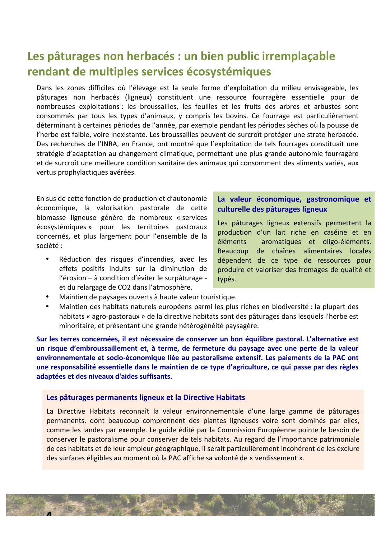# Les pâturages non herbacés : un bien public irremplaçable rendant de multiples services écosystémiques

Dans les zones difficiles où l'élevage est la seule forme d'exploitation du milieu envisageable, les pâturages non herbacés (ligneux) constituent une ressource fourragère essentielle pour de nombreuses exploitations : les broussailles, les feuilles et les fruits des arbres et arbustes sont consommés par tous les types d'animaux, y compris les bovins. Ce fourrage est particulièrement déterminant à certaines périodes de l'année, par exemple pendant les périodes sèches où la pousse de l'herbe est faible, voire inexistante. Les broussailles peuvent de surcroît protéger une strate herbacée. Des recherches de l'INRA, en France, ont montré que l'exploitation de tels fourrages constituait une stratégie d'adaptation au changement climatique, permettant une plus grande autonomie fourragère et de surcroît une meilleure condition sanitaire des animaux qui consomment des aliments variés, aux vertus prophylactiques avérées.

En sus de cette fonction de production et d'autonomie économique, la valorisation pastorale de cette biomasse ligneuse génère de nombreux « services écosystémiques » pour les territoires pastoraux concernés, et plus largement pour l'ensemble de la société:

Réduction des risques d'incendies, avec les effets positifs induits sur la diminution de l'érosion - à condition d'éviter le surpâturage et du relargage de CO2 dans l'atmosphère.

### La valeur économique, gastronomique et culturelle des pâturages ligneux

Les pâturages ligneux extensifs permettent la production d'un lait riche en caséine et en éléments aromatiques et oligo-éléments. Beaucoup de chaînes alimentaires locales dépendent de ce type de ressources pour produire et valoriser des fromages de qualité et typés.

- Maintien de paysages ouverts à haute valeur touristique.
- $\bullet$ Maintien des habitats naturels européens parmi les plus riches en biodiversité : la plupart des habitats « agro-pastoraux » de la directive habitats sont des pâturages dans lesquels l'herbe est minoritaire, et présentant une grande hétérogénéité paysagère.

Sur les terres concernées, il est nécessaire de conserver un bon équilibre pastoral. L'alternative est un risque d'embroussaillement et, à terme, de fermeture du paysage avec une perte de la valeur environnementale et socio-économique liée au pastoralisme extensif. Les paiements de la PAC ont une responsabilité essentielle dans le maintien de ce type d'agriculture, ce qui passe par des règles adaptées et des niveaux d'aides suffisants.

#### Les pâturages permanents ligneux et la Directive Habitats

La Directive Habitats reconnaît la valeur environnementale d'une large gamme de pâturages permanents, dont beaucoup comprennent des plantes ligneuses voire sont dominés par elles, comme les landes par exemple. Le guide édité par la Commission Européenne pointe le besoin de conserver le pastoralisme pour conserver de tels habitats. Au regard de l'importance patrimoniale de ces habitats et de leur ampleur géographique, il serait particulièrement incohérent de les exclure des surfaces éligibles au moment où la PAC affiche sa volonté de « verdissement ».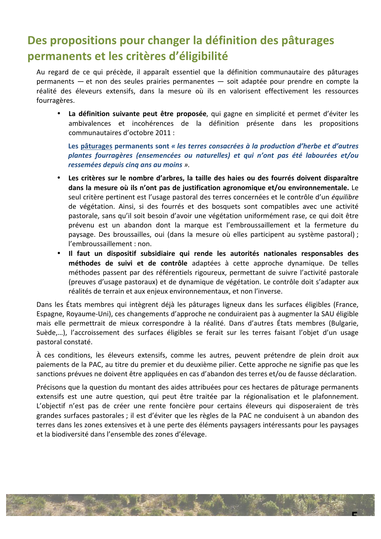# Des propositions pour changer la définition des pâturages permanents et les critères d'éligibilité

Au regard de ce qui précède, il apparaît essentiel que la définition communautaire des pâturages permanents — et non des seules prairies permanentes — soit adaptée pour prendre en compte la réalité des éleveurs extensifs, dans la mesure où ils en valorisent effectivement les ressources fourragères.

La définition suivante peut être proposée, qui gagne en simplicité et permet d'éviter les ambivalences et incohérences de la définition présente dans les propositions communautaires d'octobre 2011 :

Les pâturages permanents sont « les terres consacrées à la production d'herbe et d'autres plantes fourragères (ensemencées ou naturelles) et qui n'ont pas été labourées et/ou ressemées depuis cinq ans au moins ».

- Les critères sur le nombre d'arbres, la taille des haies ou des fourrés doivent disparaître dans la mesure où ils n'ont pas de justification agronomique et/ou environnementale. Le seul critère pertinent est l'usage pastoral des terres concernées et le contrôle d'un équilibre de végétation. Ainsi, si des fourrés et des bosquets sont compatibles avec une activité pastorale, sans qu'il soit besoin d'avoir une végétation uniformément rase, ce qui doit être prévenu est un abandon dont la marque est l'embroussaillement et la fermeture du paysage. Des broussailles, oui (dans la mesure où elles participent au système pastoral) ; l'embroussaillement : non.
- · Il faut un dispositif subsidiaire qui rende les autorités nationales responsables des méthodes de suivi et de contrôle adaptées à cette approche dynamique. De telles méthodes passent par des référentiels rigoureux, permettant de suivre l'activité pastorale (preuves d'usage pastoraux) et de dynamique de végétation. Le contrôle doit s'adapter aux réalités de terrain et aux enjeux environnementaux, et non l'inverse.

Dans les États membres qui intègrent déjà les pâturages ligneux dans les surfaces éligibles (France, Espagne, Royaume-Uni), ces changements d'approche ne conduiraient pas à augmenter la SAU éligible mais elle permettrait de mieux correspondre à la réalité. Dans d'autres États membres (Bulgarie, Suède,...), l'accroissement des surfaces éligibles se ferait sur les terres faisant l'objet d'un usage pastoral constaté.

À ces conditions, les éleveurs extensifs, comme les autres, peuvent prétendre de plein droit aux paiements de la PAC, au titre du premier et du deuxième pilier. Cette approche ne signifie pas que les sanctions prévues ne doivent être appliquées en cas d'abandon des terres et/ou de fausse déclaration.

Précisons que la question du montant des aides attribuées pour ces hectares de pâturage permanents extensifs est une autre question, qui peut être traitée par la régionalisation et le plafonnement. L'objectif n'est pas de créer une rente foncière pour certains éleveurs qui disposeraient de très grandes surfaces pastorales ; il est d'éviter que les règles de la PAC ne conduisent à un abandon des terres dans les zones extensives et à une perte des éléments paysagers intéressants pour les paysages et la biodiversité dans l'ensemble des zones d'élevage.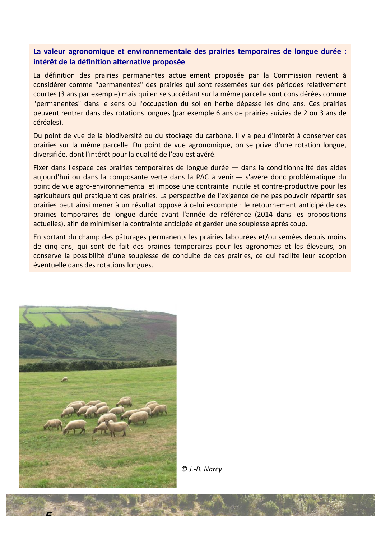### La valeur agronomique et environnementale des prairies temporaires de longue durée : intérêt de la définition alternative proposée

La définition des prairies permanentes actuellement proposée par la Commission revient à considérer comme "permanentes" des prairies qui sont ressemées sur des périodes relativement courtes (3 ans par exemple) mais qui en se succédant sur la même parcelle sont considérées comme "permanentes" dans le sens où l'occupation du sol en herbe dépasse les cinq ans. Ces prairies peuvent rentrer dans des rotations longues (par exemple 6 ans de prairies suivies de 2 ou 3 ans de céréales).

Du point de vue de la biodiversité ou du stockage du carbone, il y a peu d'intérêt à conserver ces prairies sur la même parcelle. Du point de vue agronomique, on se prive d'une rotation longue, diversifiée, dont l'intérêt pour la qualité de l'eau est avéré.

Fixer dans l'espace ces prairies temporaires de longue durée — dans la conditionnalité des aides aujourd'hui ou dans la composante verte dans la PAC à venir — s'avère donc problématique du point de vue agro-environnemental et impose une contrainte inutile et contre-productive pour les agriculteurs qui pratiquent ces prairies. La perspective de l'exigence de ne pas pouvoir répartir ses prairies peut ainsi mener à un résultat opposé à celui escompté : le retournement anticipé de ces prairies temporaires de longue durée avant l'année de référence (2014 dans les propositions actuelles), afin de minimiser la contrainte anticipée et garder une souplesse après coup.

En sortant du champ des pâturages permanents les prairies labourées et/ou semées depuis moins de cinq ans, qui sont de fait des prairies temporaires pour les agronomes et les éleveurs, on conserve la possibilité d'une souplesse de conduite de ces prairies, ce qui facilite leur adoption éventuelle dans des rotations longues.



© J.-B. Narcy